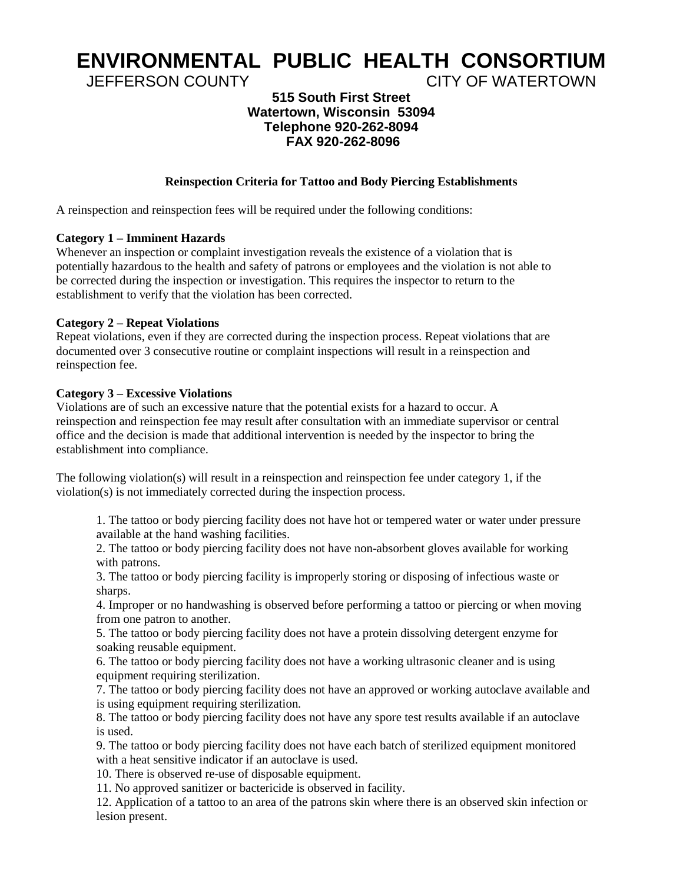# **ENVIRONMENTAL PUBLIC HEALTH CONSORTIUM**

JEFFERSON COUNTY CITY OF WATERTOWN

# **515 South First Street Watertown, Wisconsin 53094 Telephone 920-262-8094 FAX 920-262-8096**

# **Reinspection Criteria for Tattoo and Body Piercing Establishments**

A reinspection and reinspection fees will be required under the following conditions:

# **Category 1 – Imminent Hazards**

Whenever an inspection or complaint investigation reveals the existence of a violation that is potentially hazardous to the health and safety of patrons or employees and the violation is not able to be corrected during the inspection or investigation. This requires the inspector to return to the establishment to verify that the violation has been corrected.

# **Category 2 – Repeat Violations**

Repeat violations, even if they are corrected during the inspection process. Repeat violations that are documented over 3 consecutive routine or complaint inspections will result in a reinspection and reinspection fee.

#### **Category 3 – Excessive Violations**

Violations are of such an excessive nature that the potential exists for a hazard to occur. A reinspection and reinspection fee may result after consultation with an immediate supervisor or central office and the decision is made that additional intervention is needed by the inspector to bring the establishment into compliance.

The following violation(s) will result in a reinspection and reinspection fee under category 1, if the violation(s) is not immediately corrected during the inspection process.

1. The tattoo or body piercing facility does not have hot or tempered water or water under pressure available at the hand washing facilities.

2. The tattoo or body piercing facility does not have non-absorbent gloves available for working with patrons.

3. The tattoo or body piercing facility is improperly storing or disposing of infectious waste or sharps.

4. Improper or no handwashing is observed before performing a tattoo or piercing or when moving from one patron to another.

5. The tattoo or body piercing facility does not have a protein dissolving detergent enzyme for soaking reusable equipment.

6. The tattoo or body piercing facility does not have a working ultrasonic cleaner and is using equipment requiring sterilization.

7. The tattoo or body piercing facility does not have an approved or working autoclave available and is using equipment requiring sterilization.

8. The tattoo or body piercing facility does not have any spore test results available if an autoclave is used.

9. The tattoo or body piercing facility does not have each batch of sterilized equipment monitored with a heat sensitive indicator if an autoclave is used.

10. There is observed re-use of disposable equipment.

11. No approved sanitizer or bactericide is observed in facility.

12. Application of a tattoo to an area of the patrons skin where there is an observed skin infection or lesion present.